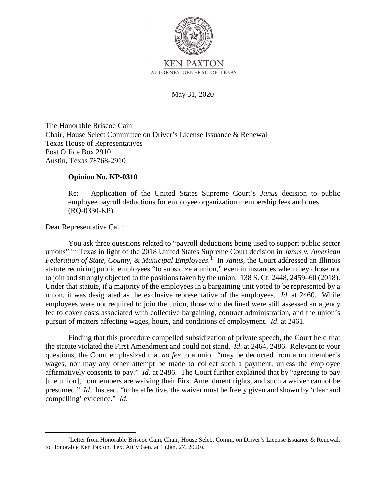

**KEN PAXTON** ATTORNEY GENERAL OF TEXAS

May 31, 2020

The Honorable Briscoe Cain Chair, House Select Committee on Driver's License Issuance & Renewal Texas House of Representatives Post Office Box 2910 Austin, Texas 78768-2910

## **Opinion No. KP-0310**

 employee payroll deductions for employee organization membership fees and dues Re: Application of the United States Supreme Court's *Janus* decision to public (RQ-0330-KP)

Dear Representative Cain:

 *Federation of State, County, & Municipal Employees*. 1 In *Janus*, the Court addressed an Illinois statute requiring public employees "to subsidize a union," even in instances when they chose not to join and strongly objected to the positions taken by the union. 138 S. Ct. 2448, 2459–60 (2018). You ask three questions related to "payroll deductions being used to support public sector unions" in Texas in light of the 2018 United States Supreme Court decision in *Janus v. American*  Under that statute, if a majority of the employees in a bargaining unit voted to be represented by a union, it was designated as the exclusive representative of the employees. *Id*. at 2460. While employees were not required to join the union, those who declined were still assessed an agency fee to cover costs associated with collective bargaining, contract administration, and the union's pursuit of matters affecting wages, hours, and conditions of employment. *Id*. at 2461.

 affirmatively consents to pay." *Id*. at 2486. The Court further explained that by "agreeing to pay presumed." *Id*. Instead, "to be effective, the waiver must be freely given and shown by 'clear and compelling' evidence." *Id*. Finding that this procedure compelled subsidization of private speech, the Court held that the statute violated the First Amendment and could not stand. *Id*. at 2464, 2486. Relevant to your questions, the Court emphasized that *no fee* to a union "may be deducted from a nonmember's wages, nor may any other attempt be made to collect such a payment, unless the employee [the union], nonmembers are waiving their First Amendment rights, and such a waiver cannot be

<sup>&</sup>lt;sup>1</sup>Letter from Honorable Briscoe Cain, Chair, House Select Comm. on Driver's License Issuance & Renewal, to Honorable Ken Paxton, Tex. Att'y Gen. at 1 (Jan. 27, 2020).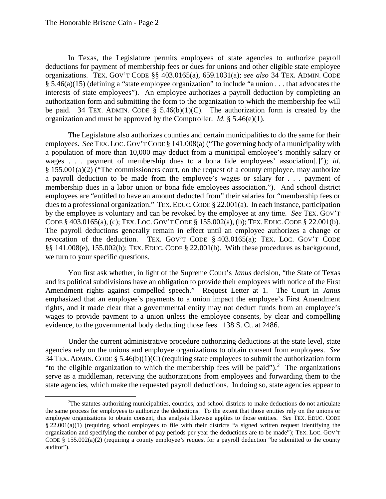organizations. TEX. GOV'T CODE §§ 403.0165(a), 659.1031(a); *see also* 34 TEX. ADMIN. CODE interests of state employees"). An employee authorizes a payroll deduction by completing an be paid. 34 TEX. ADMIN. CODE  $\S$  5.46(b)(1)(C). The authorization form is created by the In Texas, the Legislature permits employees of state agencies to authorize payroll deductions for payment of membership fees or dues for unions and other eligible state employee § 5.46(a)(15) (defining a "state employee organization" to include "a union . . . that advocates the authorization form and submitting the form to the organization to which the membership fee will organization and must be approved by the Comptroller. *Id*. § 5.46(e)(1).

 The Legislature also authorizes counties and certain municipalities to do the same for their employees. *See* TEX. LOC. GOV'T CODE § 141.008(a) ("The governing body of a municipality with § 155.001(a)(2) ("The commissioners court, on the request of a county employee, may authorize dues to a professional organization." TEX. EDUC. CODE § 22.001(a). In each instance, participation by the employee is voluntary and can be revoked by the employee at any time. *See* TEX. GOV'T CODE § 403.0165(a), (c); TEX. LOC. GOV'T CODE § 155.002(a), (b); TEX. EDUC. CODE § 22.001(b). revocation of the deduction. TEX. GOV'T CODE § 403.0165(a); TEX. LOC. GOV'T CODE §§ 141.008(e), 155.002(b); TEX. EDUC. CODE § 22.001(b). With these procedures as background, a population of more than 10,000 may deduct from a municipal employee's monthly salary or wages . . . payment of membership dues to a bona fide employees' association[.]"); *id*. a payroll deduction to be made from the employee's wages or salary for . . . payment of membership dues in a labor union or bona fide employees association."). And school district employees are "entitled to have an amount deducted from" their salaries for "membership fees or The payroll deductions generally remain in effect until an employee authorizes a change or we turn to your specific questions.

 Amendment rights against compelled speech." Request Letter at 1. The Court in *Janus*  You first ask whether, in light of the Supreme Court's *Janus* decision, "the State of Texas and its political subdivisions have an obligation to provide their employees with notice of the First emphasized that an employee's payments to a union impact the employee's First Amendment rights, and it made clear that a governmental entity may not deduct funds from an employee's wages to provide payment to a union unless the employee consents, by clear and compelling evidence, to the governmental body deducting those fees. 138 S. Ct. at 2486.

 34 TEX. ADMIN. CODE § 5.46(b)(1)(C) (requiring state employees to submit the authorization form Under the current administrative procedure authorizing deductions at the state level, state agencies rely on the unions and employee organizations to obtain consent from employees. *See*  "to the eligible organization to which the membership fees will be paid").<sup>2</sup> The organizations serve as a middleman, receiving the authorizations from employees and forwarding them to the state agencies, which make the requested payroll deductions. In doing so, state agencies appear to

 2 The statutes authorizing municipalities, counties, and school districts to make deductions do not articulate employee organizations to obtain consent, this analysis likewise applies to those entities. *See* TEX. EDUC. CODE § 22.001(a)(1) (requiring school employees to file with their districts "a signed written request identifying the organization and specifying the number of pay periods per year the deductions are to be made"); TEX. LOC. GOV'T the same process for employees to authorize the deductions. To the extent that those entities rely on the unions or CODE § 155.002(a)(2) (requiring a county employee's request for a payroll deduction "be submitted to the county auditor").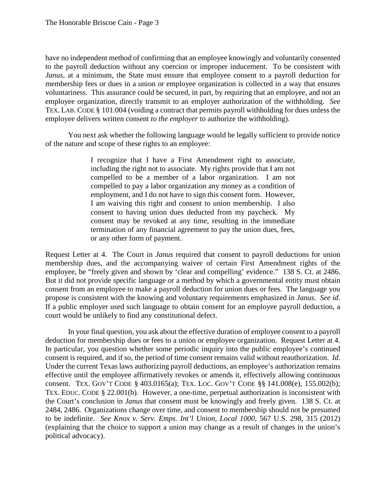have no independent method of confirming that an employee knowingly and voluntarily consented TEX. LAB. CODE § 101.004 (voiding a contract that permits payroll withholding for dues unless the employee delivers written consent to the employer to authorize the withholding). to the payroll deduction without any coercion or improper inducement. To be consistent with *Janus*, at a minimum, the State must ensure that employee consent to a payroll deduction for membership fees or dues in a union or employee organization is collected in a way that ensures voluntariness. This assurance could be secured, in part, by requiring that an employee, and not an employee organization, directly transmit to an employer authorization of the withholding. *See* 

You next ask whether the following language would be legally sufficient to provide notice of the nature and scope of these rights to an employee:

> including the right not to associate. My rights provide that I am not compelled to be a member of a labor organization. I am not consent may be revoked at any time, resulting in the immediate I recognize that I have a First Amendment right to associate, compelled to pay a labor organization any money as a condition of employment, and I do not have to sign this consent form. However, I am waiving this right and consent to union membership. I also consent to having union dues deducted from my paycheck. My termination of any financial agreement to pay the union dues, fees, or any other form of payment.

 Request Letter at 4. The Court in *Janus* required that consent to payroll deductions for union consent from an employee to make a payroll deduction for union dues or fees. The language you propose is consistent with the knowing and voluntary requirements emphasized in *Janus*. *See id*. membership dues, and the accompanying waiver of certain First Amendment rights of the employee, be "freely given and shown by 'clear and compelling' evidence." 138 S. Ct. at 2486. But it did not provide specific language or a method by which a governmental entity must obtain If a public employer used such language to obtain consent for an employee payroll deduction, a court would be unlikely to find any constitutional defect.

 deduction for membership dues or fees to a union or employee organization. Request Letter at 4. effective until the employee affirmatively revokes or amends it, effectively allowing continuous consent. TEX. GOV'T CODE § 403.0165(a); TEX. LOC. GOV'T CODE §§ 141.008(e), 155.002(b); TEX. EDUC. CODE § 22.001(b). However, a one-time, perpetual authorization is inconsistent with  the Court's conclusion in *Janus* that consent must be knowingly and freely given. 138 S. Ct. at In your final question, you ask about the effective duration of employee consent to a payroll In particular, you question whether some periodic inquiry into the public employee's continued consent is required, and if so, the period of time consent remains valid without reauthorization. *Id*. Under the current Texas laws authorizing payroll deductions, an employee's authorization remains 2484, 2486. Organizations change over time, and consent to membership should not be presumed to be indefinite. *See Knox v. Serv. Emps. Int'l Union, Local 1000*, 567 U.S. 298, 315 (2012) (explaining that the choice to support a union may change as a result of changes in the union's political advocacy).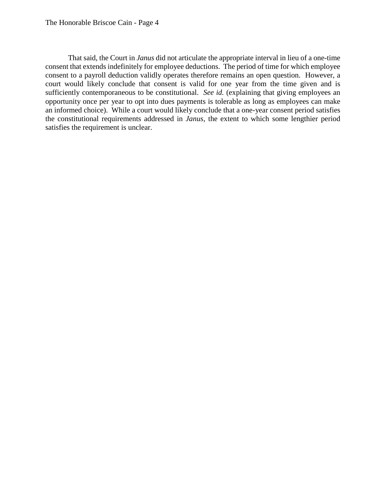opportunity once per year to opt into dues payments is tolerable as long as employees can make satisfies the requirement is unclear. That said, the Court in *Janus* did not articulate the appropriate interval in lieu of a one-time consent that extends indefinitely for employee deductions. The period of time for which employee consent to a payroll deduction validly operates therefore remains an open question. However, a court would likely conclude that consent is valid for one year from the time given and is sufficiently contemporaneous to be constitutional. *See id.* (explaining that giving employees an an informed choice). While a court would likely conclude that a one-year consent period satisfies the constitutional requirements addressed in *Janus*, the extent to which some lengthier period